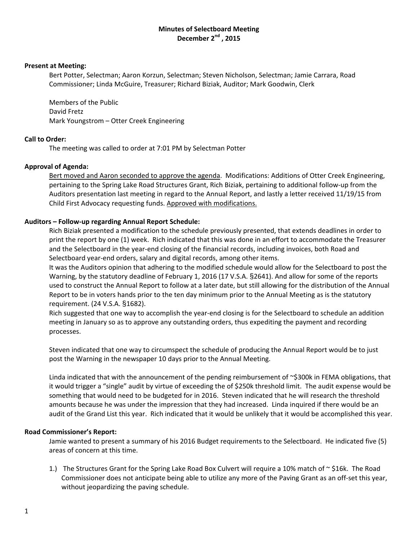# **Minutes of Selectboard Meeting December 2nd , 2015**

#### **Present at Meeting:**

Bert Potter, Selectman; Aaron Korzun, Selectman; Steven Nicholson, Selectman; Jamie Carrara, Road Commissioner; Linda McGuire, Treasurer; Richard Biziak, Auditor; Mark Goodwin, Clerk

Members of the Public David Fretz Mark Youngstrom – Otter Creek Engineering

## **Call to Order:**

The meeting was called to order at 7:01 PM by Selectman Potter

## **Approval of Agenda:**

Bert moved and Aaron seconded to approve the agenda. Modifications: Additions of Otter Creek Engineering, pertaining to the Spring Lake Road Structures Grant, Rich Biziak, pertaining to additional follow‐up from the Auditors presentation last meeting in regard to the Annual Report, and lastly a letter received 11/19/15 from Child First Advocacy requesting funds. Approved with modifications.

## **Auditors – Follow‐up regarding Annual Report Schedule:**

Rich Biziak presented a modification to the schedule previously presented, that extends deadlines in order to print the report by one (1) week. Rich indicated that this was done in an effort to accommodate the Treasurer and the Selectboard in the year‐end closing of the financial records, including invoices, both Road and Selectboard year-end orders, salary and digital records, among other items.

It was the Auditors opinion that adhering to the modified schedule would allow for the Selectboard to post the Warning, by the statutory deadline of February 1, 2016 (17 V.S.A. §2641). And allow for some of the reports used to construct the Annual Report to follow at a later date, but still allowing for the distribution of the Annual Report to be in voters hands prior to the ten day minimum prior to the Annual Meeting as is the statutory requirement. (24 V.S.A. §1682).

Rich suggested that one way to accomplish the year‐end closing is for the Selectboard to schedule an addition meeting in January so as to approve any outstanding orders, thus expediting the payment and recording processes.

Steven indicated that one way to circumspect the schedule of producing the Annual Report would be to just post the Warning in the newspaper 10 days prior to the Annual Meeting.

Linda indicated that with the announcement of the pending reimbursement of ~\$300k in FEMA obligations, that it would trigger a "single" audit by virtue of exceeding the of \$250k threshold limit. The audit expense would be something that would need to be budgeted for in 2016. Steven indicated that he will research the threshold amounts because he was under the impression that they had increased. Linda inquired if there would be an audit of the Grand List this year. Rich indicated that it would be unlikely that it would be accomplished this year.

## **Road Commissioner's Report:**

Jamie wanted to present a summary of his 2016 Budget requirements to the Selectboard. He indicated five (5) areas of concern at this time.

1.) The Structures Grant for the Spring Lake Road Box Culvert will require a 10% match of  $\sim$  \$16k. The Road Commissioner does not anticipate being able to utilize any more of the Paving Grant as an off‐set this year, without jeopardizing the paving schedule.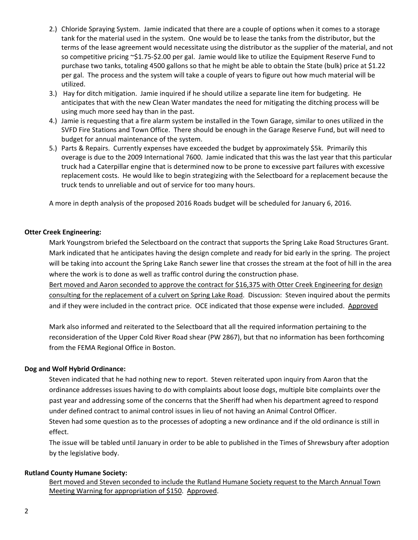- 2.) Chloride Spraying System. Jamie indicated that there are a couple of options when it comes to a storage tank for the material used in the system. One would be to lease the tanks from the distributor, but the terms of the lease agreement would necessitate using the distributor as the supplier of the material, and not so competitive pricing ~\$1.75‐\$2.00 per gal. Jamie would like to utilize the Equipment Reserve Fund to purchase two tanks, totaling 4500 gallons so that he might be able to obtain the State (bulk) price at \$1.22 per gal. The process and the system will take a couple of years to figure out how much material will be utilized.
- 3.) Hay for ditch mitigation. Jamie inquired if he should utilize a separate line item for budgeting. He anticipates that with the new Clean Water mandates the need for mitigating the ditching process will be using much more seed hay than in the past.
- 4.) Jamie is requesting that a fire alarm system be installed in the Town Garage, similar to ones utilized in the SVFD Fire Stations and Town Office. There should be enough in the Garage Reserve Fund, but will need to budget for annual maintenance of the system.
- 5.) Parts & Repairs. Currently expenses have exceeded the budget by approximately \$5k. Primarily this overage is due to the 2009 International 7600. Jamie indicated that this was the last year that this particular truck had a Caterpillar engine that is determined now to be prone to excessive part failures with excessive replacement costs. He would like to begin strategizing with the Selectboard for a replacement because the truck tends to unreliable and out of service for too many hours.

A more in depth analysis of the proposed 2016 Roads budget will be scheduled for January 6, 2016.

# **Otter Creek Engineering:**

Mark Youngstrom briefed the Selectboard on the contract that supports the Spring Lake Road Structures Grant. Mark indicated that he anticipates having the design complete and ready for bid early in the spring. The project will be taking into account the Spring Lake Ranch sewer line that crosses the stream at the foot of hill in the area where the work is to done as well as traffic control during the construction phase.

Bert moved and Aaron seconded to approve the contract for \$16,375 with Otter Creek Engineering for design consulting for the replacement of a culvert on Spring Lake Road. Discussion: Steven inquired about the permits and if they were included in the contract price. OCE indicated that those expense were included. Approved

Mark also informed and reiterated to the Selectboard that all the required information pertaining to the reconsideration of the Upper Cold River Road shear (PW 2867), but that no information has been forthcoming from the FEMA Regional Office in Boston.

## **Dog and Wolf Hybrid Ordinance:**

Steven indicated that he had nothing new to report. Steven reiterated upon inquiry from Aaron that the ordinance addresses issues having to do with complaints about loose dogs, multiple bite complaints over the past year and addressing some of the concerns that the Sheriff had when his department agreed to respond under defined contract to animal control issues in lieu of not having an Animal Control Officer.

Steven had some question as to the processes of adopting a new ordinance and if the old ordinance is still in effect.

The issue will be tabled until January in order to be able to published in the Times of Shrewsbury after adoption by the legislative body.

## **Rutland County Humane Society:**

Bert moved and Steven seconded to include the Rutland Humane Society request to the March Annual Town Meeting Warning for appropriation of \$150. Approved.